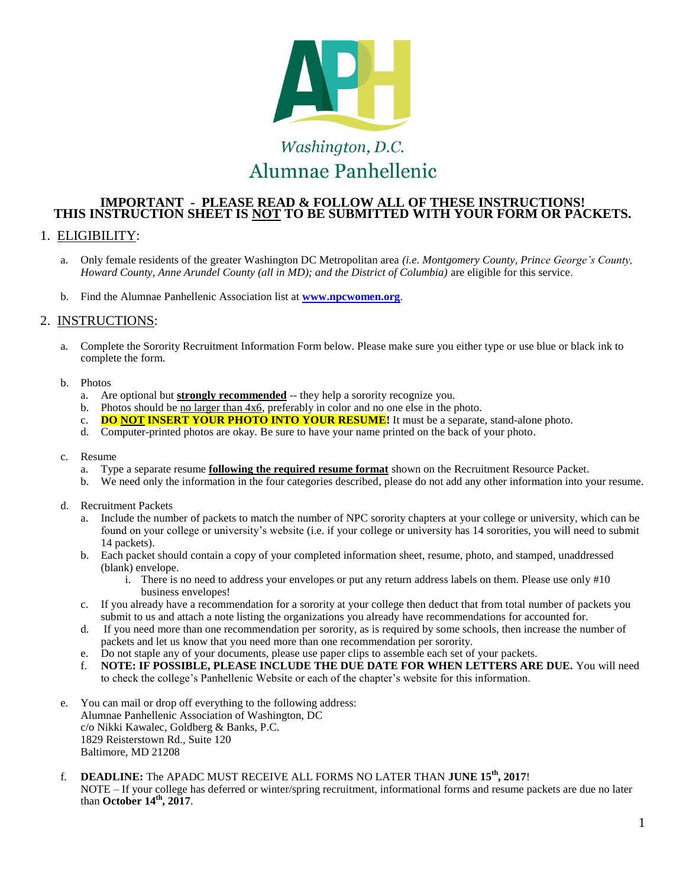

## **IMPORTANT - PLEASE READ & FOLLOW ALL OF THESE INSTRUCTIONS! THIS INSTRUCTION SHEET IS NOT TO BE SUBMITTED WITH YOUR FORM OR PACKETS.**

## 1. ELIGIBILITY:

- a. Only female residents of the greater Washington DC Metropolitan area *(i.e. Montgomery County, Prince George's County, Howard County, Anne Arundel County (all in MD); and the District of Columbia)* are eligible for this service.
- b. Find the Alumnae Panhellenic Association list at **[www.npcwomen.org](http://www.npcwomen.org/)**.

## 2. INSTRUCTIONS:

- a. Complete the Sorority Recruitment Information Form below. Please make sure you either type or use blue or black ink to complete the form.
- b. Photos
	- a. Are optional but **strongly recommended** -- they help a sorority recognize you.
	- b. Photos should be no larger than 4x6, preferably in color and no one else in the photo.
	- c. **DO NOT INSERT YOUR PHOTO INTO YOUR RESUME!** It must be a separate, stand-alone photo.
	- d. Computer-printed photos are okay. Be sure to have your name printed on the back of your photo.
- c. Resume
	- a. Type a separate resume **following the required resume format** shown on the Recruitment Resource Packet.
	- b. We need only the information in the four categories described, please do not add any other information into your resume.
- d. Recruitment Packets
	- a. Include the number of packets to match the number of NPC sorority chapters at your college or university, which can be found on your college or university's website (i.e. if your college or university has 14 sororities, you will need to submit 14 packets).
	- b. Each packet should contain a copy of your completed information sheet, resume, photo, and stamped, unaddressed (blank) envelope.
		- i. There is no need to address your envelopes or put any return address labels on them. Please use only #10 business envelopes!
	- c. If you already have a recommendation for a sorority at your college then deduct that from total number of packets you submit to us and attach a note listing the organizations you already have recommendations for accounted for.
	- d. If you need more than one recommendation per sorority, as is required by some schools, then increase the number of packets and let us know that you need more than one recommendation per sorority.
	- e. Do not staple any of your documents, please use paper clips to assemble each set of your packets.
	- f. **NOTE: IF POSSIBLE, PLEASE INCLUDE THE DUE DATE FOR WHEN LETTERS ARE DUE.** You will need to check the college's Panhellenic Website or each of the chapter's website for this information.
- e. You can mail or drop off everything to the following address: Alumnae Panhellenic Association of Washington, DC c/o Nikki Kawalec, Goldberg & Banks, P.C. 1829 Reisterstown Rd., Suite 120 Baltimore, MD 21208
- f. **DEADLINE:** The APADC MUST RECEIVE ALL FORMS NO LATER THAN **JUNE 15th, 2017**! NOTE – If your college has deferred or winter/spring recruitment, informational forms and resume packets are due no later than **October 14th, 2017**.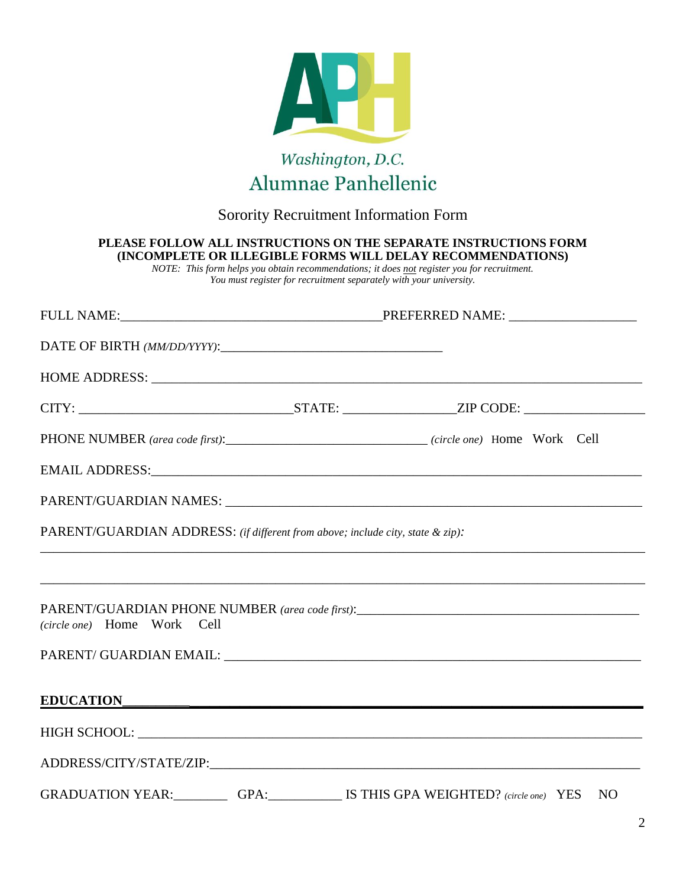

## Sorority Recruitment Information Form

| PARENT/GUARDIAN ADDRESS: (if different from above; include city, state & zip):                                   |  |  |  |  |  |
|------------------------------------------------------------------------------------------------------------------|--|--|--|--|--|
|                                                                                                                  |  |  |  |  |  |
| PARENT/GUARDIAN PHONE NUMBER (area code first):__________________________________<br>(circle one) Home Work Cell |  |  |  |  |  |
|                                                                                                                  |  |  |  |  |  |
| EDUCATION                                                                                                        |  |  |  |  |  |
|                                                                                                                  |  |  |  |  |  |
|                                                                                                                  |  |  |  |  |  |
|                                                                                                                  |  |  |  |  |  |